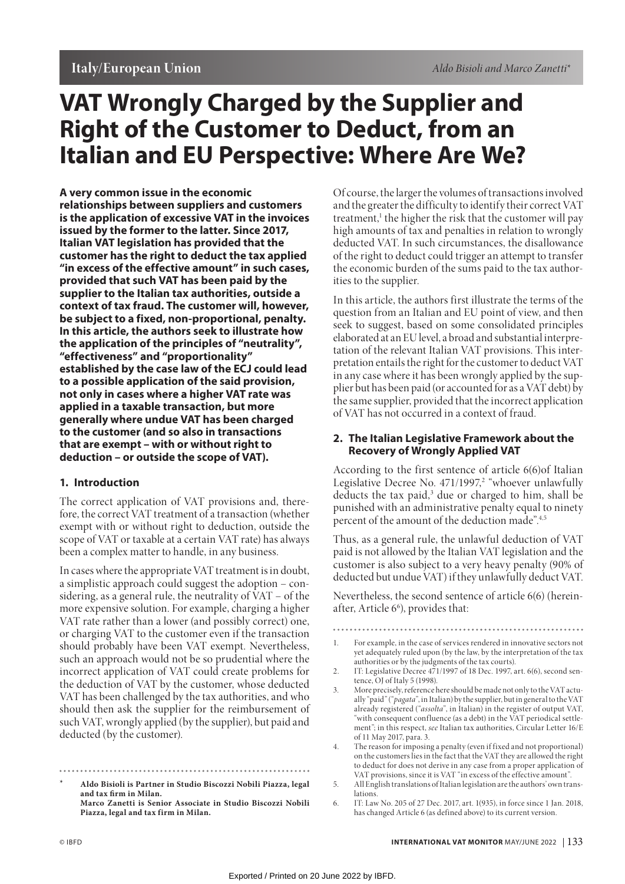# **VAT Wrongly Charged by the Supplier and Right of the Customer to Deduct, from an Italian and EU Perspective: Where Are We?**

**A very common issue in the economic relationships between suppliers and customers is the application of excessive VAT in the invoices issued by the former to the latter. Since 2017, Italian VAT legislation has provided that the customer has the right to deduct the tax applied "in excess of the effective amount" in such cases, provided that such VAT has been paid by the supplier to the Italian tax authorities, outside a context of tax fraud. The customer will, however, be subject to a fixed, non-proportional, penalty. In this article, the authors seek to illustrate how the application of the principles of "neutrality", "effectiveness" and "proportionality" established by the case law of the ECJ could lead to a possible application of the said provision, not only in cases where a higher VAT rate was applied in a taxable transaction, but more generally where undue VAT has been charged to the customer (and so also in transactions that are exempt – with or without right to deduction – or outside the scope of VAT).**

## **1. Introduction**

The correct application of VAT provisions and, therefore, the correct VAT treatment of a transaction (whether exempt with or without right to deduction, outside the scope of VAT or taxable at a certain VAT rate) has always been a complex matter to handle, in any business.

In cases where the appropriate VAT treatment is in doubt, a simplistic approach could suggest the adoption – considering, as a general rule, the neutrality of VAT – of the more expensive solution. For example, charging a higher VAT rate rather than a lower (and possibly correct) one, or charging VAT to the customer even if the transaction should probably have been VAT exempt. Nevertheless, such an approach would not be so prudential where the incorrect application of VAT could create problems for the deduction of VAT by the customer, whose deducted VAT has been challenged by the tax authorities, and who should then ask the supplier for the reimbursement of such VAT, wrongly applied (by the supplier), but paid and deducted (by the customer).

**\* Aldo Bisioli is Partner in Studio Biscozzi Nobili Piazza, legal and tax firm in Milan. Marco Zanetti is Senior Associate in Studio Biscozzi Nobili Piazza, legal and tax firm in Milan.**

Of course, the larger the volumes of transactions involved and the greater the difficulty to identify their correct VAT treatment,<sup>1</sup> the higher the risk that the customer will pay high amounts of tax and penalties in relation to wrongly deducted VAT. In such circumstances, the disallowance of the right to deduct could trigger an attempt to transfer the economic burden of the sums paid to the tax authorities to the supplier.

In this article, the authors first illustrate the terms of the question from an Italian and EU point of view, and then seek to suggest, based on some consolidated principles elaborated at an EU level, a broad and substantial interpretation of the relevant Italian VAT provisions. This interpretation entails the right for the customer to deduct VAT in any case where it has been wrongly applied by the supplier but has been paid (or accounted for as a VAT debt) by the same supplier, provided that the incorrect application of VAT has not occurred in a context of fraud.

### **2. The Italian Legislative Framework about the Recovery of Wrongly Applied VAT**

According to the first sentence of article 6(6)of Italian Legislative Decree No. 471/1997,<sup>2</sup> "whoever unlawfully deducts the tax paid,<sup>3</sup> due or charged to him, shall be punished with an administrative penalty equal to ninety percent of the amount of the deduction made".4,5

Thus, as a general rule, the unlawful deduction of VAT paid is not allowed by the Italian VAT legislation and the customer is also subject to a very heavy penalty (90% of deducted but undue VAT) if they unlawfully deduct VAT.

Nevertheless, the second sentence of article 6(6) (hereinafter, Article 6<sup>6</sup>), provides that:

- 1. For example, in the case of services rendered in innovative sectors not yet adequately ruled upon (by the law, by the interpretation of the tax authorities or by the judgments of the tax courts).
- 2. IT: Legislative Decree 471/1997 of 18 Dec. 1997, art. 6(6), second sentence, OJ of Italy 5 (1998).
- 3. More precisely, reference here should be made not only to the VAT actually "paid" ("*pagata*", in Italian) by the supplier, but in general to the VAT already registered ("*assolta*", in Italian) in the register of output VAT, "with consequent confluence (as a debt) in the VAT periodical settlement"; in this respect, *see* Italian tax authorities, Circular Letter 16/E of 11 May 2017, para. 3.
- 4. The reason for imposing a penalty (even if fixed and not proportional) on the customers lies in the fact that the VAT they are allowed the right to deduct for does not derive in any case from a proper application of VAT provisions, since it is VAT "in excess of the effective amount".

6. IT: Law No. 205 of 27 Dec. 2017, art. 1(935), in force since 1 Jan. 2018, has changed Article 6 (as defined above) to its current version.

<sup>5.</sup> All English translations of Italian legislation are the authors' own translations.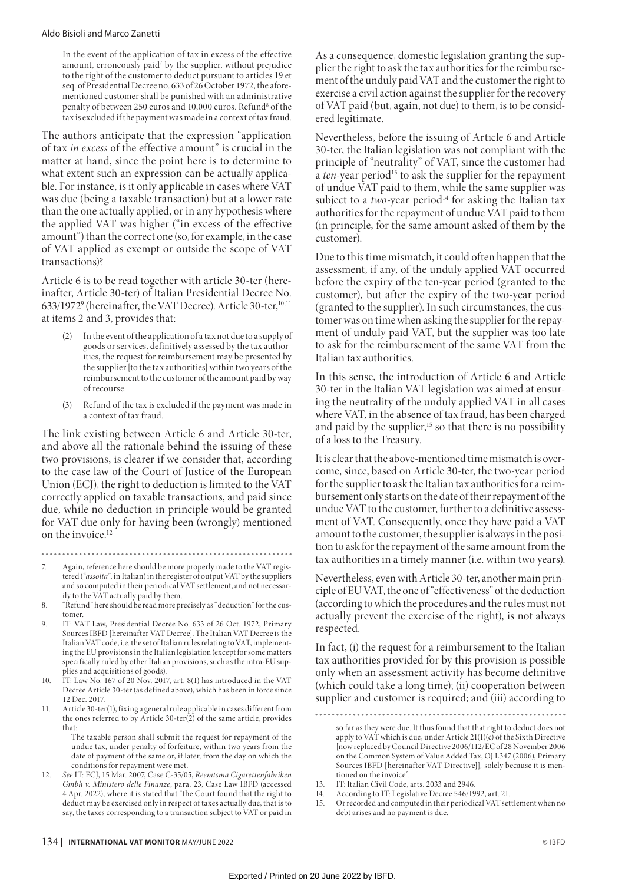In the event of the application of tax in excess of the effective amount, erroneously paid<sup>7</sup> by the supplier, without prejudice to the right of the customer to deduct pursuant to articles 19 et seq. of Presidential Decree no. 633 of 26 October 1972, the aforementioned customer shall be punished with an administrative penalty of between 250 euros and 10,000 euros. Refund<sup>8</sup> of the tax is excluded if the payment was made in a context of tax fraud.

The authors anticipate that the expression "application of tax *in excess* of the effective amount" is crucial in the matter at hand, since the point here is to determine to what extent such an expression can be actually applicable. For instance, is it only applicable in cases where VAT was due (being a taxable transaction) but at a lower rate than the one actually applied, or in any hypothesis where the applied VAT was higher ("in excess of the effective amount") than the correct one (so, for example, in the case of VAT applied as exempt or outside the scope of VAT transactions)?

Article 6 is to be read together with article 30-ter (hereinafter, Article 30-ter) of Italian Presidential Decree No. 633/19729 (hereinafter, the VAT Decree). Article 30-ter,10,11 at items 2 and 3, provides that:

- (2) In the event of the application of a tax not due to a supply of goods or services, definitively assessed by the tax authorities, the request for reimbursement may be presented by the supplier [to the tax authorities] within two years of the reimbursement to the customer of the amount paid by way of recourse.
- (3) Refund of the tax is excluded if the payment was made in a context of tax fraud.

The link existing between Article 6 and Article 30-ter, and above all the rationale behind the issuing of these two provisions, is clearer if we consider that, according to the case law of the Court of Justice of the European Union (ECJ), the right to deduction is limited to the VAT correctly applied on taxable transactions, and paid since due, while no deduction in principle would be granted for VAT due only for having been (wrongly) mentioned on the invoice.<sup>12</sup>

- 7. Again, reference here should be more properly made to the VAT registered ("*assolta*", in Italian) in the register of output VAT by the suppliers and so computed in their periodical VAT settlement, and not necessarily to the VAT actually paid by them.
- 8. "Refund" here should be read more precisely as "deduction" for the customer
- 9. IT: VAT Law, Presidential Decree No. 633 of 26 Oct. 1972, Primary Sources IBFD [hereinafter VAT Decree]. The Italian VAT Decree is the Italian VAT code, i.e. the set of Italian rules relating to VAT, implementing the EU provisions in the Italian legislation (except for some matters specifically ruled by other Italian provisions, such as the intra-EU supplies and acquisitions of goods).
- 10. IT: Law No. 167 of 20 Nov. 2017, art. 8(1) has introduced in the VAT Decree Article 30-ter (as defined above), which has been in force since 12 Dec. 2017.
- 11. Article 30-ter(1), fixing a general rule applicable in cases different from the ones referred to by Article 30-ter(2) of the same article, provides that:
	- The taxable person shall submit the request for repayment of the undue tax, under penalty of forfeiture, within two years from the date of payment of the same or, if later, from the day on which the conditions for repayment were met.
- 12. *See* IT: ECJ, 15 Mar. 2007, Case C-35/05, *Reemtsma Cigarettenfabriken Gmbh v. Ministero delle Finanze*, para. 23, Case Law IBFD (accessed 4 Apr. 2022), where it is stated that "the Court found that the right to deduct may be exercised only in respect of taxes actually due, that is to say, the taxes corresponding to a transaction subject to VAT or paid in

As a consequence, domestic legislation granting the supplier the right to ask the tax authorities for the reimbursement of the unduly paid VAT and the customer the right to exercise a civil action against the supplier for the recovery of VAT paid (but, again, not due) to them, is to be considered legitimate.

Nevertheless, before the issuing of Article 6 and Article 30-ter, the Italian legislation was not compliant with the principle of "neutrality" of VAT, since the customer had a *ten*-year period<sup>13</sup> to ask the supplier for the repayment of undue VAT paid to them, while the same supplier was subject to a *two-year period*<sup>14</sup> for asking the Italian tax authorities for the repayment of undue VAT paid to them (in principle, for the same amount asked of them by the customer).

Due to this time mismatch, it could often happen that the assessment, if any, of the unduly applied VAT occurred before the expiry of the ten-year period (granted to the customer), but after the expiry of the two-year period (granted to the supplier). In such circumstances, the customer was on time when asking the supplier for the repayment of unduly paid VAT, but the supplier was too late to ask for the reimbursement of the same VAT from the Italian tax authorities.

In this sense, the introduction of Article 6 and Article 30-ter in the Italian VAT legislation was aimed at ensuring the neutrality of the unduly applied VAT in all cases where VAT, in the absence of tax fraud, has been charged and paid by the supplier,<sup>15</sup> so that there is no possibility of a loss to the Treasury.

It is clear that the above-mentioned time mismatch is overcome, since, based on Article 30-ter, the two-year period for the supplier to ask the Italian tax authorities for a reimbursement only starts on the date of their repayment of the undue VAT to the customer, further to a definitive assessment of VAT. Consequently, once they have paid a VAT amount to the customer, the supplier is always in the position to ask for the repayment of the same amount from the tax authorities in a timely manner (i.e. within two years).

Nevertheless, even with Article 30-ter, another main principle of EU VAT, the one of "effectiveness" of the deduction (according to which the procedures and the rules must not actually prevent the exercise of the right), is not always respected.

In fact, (i) the request for a reimbursement to the Italian tax authorities provided for by this provision is possible only when an assessment activity has become definitive (which could take a long time); (ii) cooperation between supplier and customer is required; and (iii) according to

- 13. IT: Italian Civil Code, arts. 2033 and 2946.
- 14. According to IT: Legislative Decree 546/1992, art. 21.
- 15. Or recorded and computed in their periodical VAT settlement when no debt arises and no payment is due.

so far as they were due. It thus found that that right to deduct does not apply to VAT which is due, under Article 21(1)(c) of the Sixth Directive [now replaced by Council Directive 2006/112/EC of 28 November 2006 on the Common System of Value Added Tax, OJ L347 (2006), Primary Sources IBFD [hereinafter VAT Directive]]*,* solely because it is mentioned on the invoice".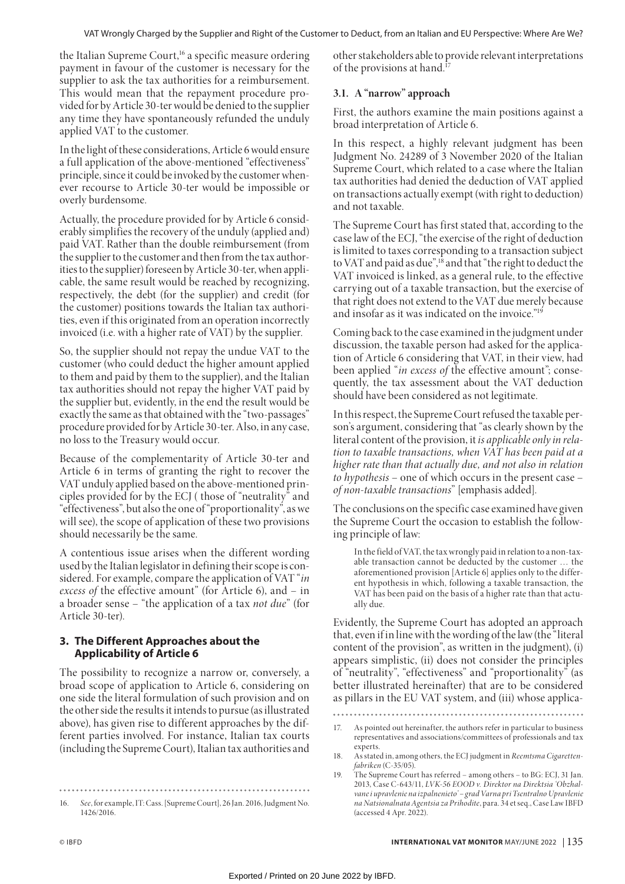the Italian Supreme Court,<sup>16</sup> a specific measure ordering payment in favour of the customer is necessary for the supplier to ask the tax authorities for a reimbursement. This would mean that the repayment procedure provided for by Article 30-ter would be denied to the supplier any time they have spontaneously refunded the unduly applied VAT to the customer.

In the light of these considerations, Article 6 would ensure a full application of the above-mentioned "effectiveness" principle, since it could be invoked by the customer whenever recourse to Article 30-ter would be impossible or overly burdensome.

Actually, the procedure provided for by Article 6 considerably simplifies the recovery of the unduly (applied and) paid VAT. Rather than the double reimbursement (from the supplier to the customer and then from the tax authorities to the supplier) foreseen by Article 30-ter, when applicable, the same result would be reached by recognizing, respectively, the debt (for the supplier) and credit (for the customer) positions towards the Italian tax authorities, even if this originated from an operation incorrectly invoiced (i.e. with a higher rate of VAT) by the supplier.

So, the supplier should not repay the undue VAT to the customer (who could deduct the higher amount applied to them and paid by them to the supplier), and the Italian tax authorities should not repay the higher VAT paid by the supplier but, evidently, in the end the result would be exactly the same as that obtained with the "two-passages" procedure provided for by Article 30-ter. Also, in any case, no loss to the Treasury would occur.

Because of the complementarity of Article 30-ter and Article 6 in terms of granting the right to recover the VAT unduly applied based on the above-mentioned principles provided for by the ECJ ( those of "neutrality" and "effectiveness", but also the one of "proportionality", as we will see), the scope of application of these two provisions should necessarily be the same.

A contentious issue arises when the different wording used by the Italian legislator in defining their scope is considered. For example, compare the application of VAT "*in excess of* the effective amount" (for Article 6), and – in a broader sense – "the application of a tax *not due*" (for Article 30-ter).

# **3. The Different Approaches about the Applicability of Article 6**

The possibility to recognize a narrow or, conversely, a broad scope of application to Article 6, considering on one side the literal formulation of such provision and on the other side the results it intends to pursue (as illustrated above), has given rise to different approaches by the different parties involved. For instance, Italian tax courts (including the Supreme Court), Italian tax authorities and

16. *See*, for example, IT: Cass. [Supreme Court], 26 Jan. 2016, Judgment No. 1426/2016.

other stakeholders able to provide relevant interpretations of the provisions at hand.17

# **3.1. A "narrow" approach**

First, the authors examine the main positions against a broad interpretation of Article 6.

In this respect, a highly relevant judgment has been Judgment No. 24289 of 3 November 2020 of the Italian Supreme Court, which related to a case where the Italian tax authorities had denied the deduction of VAT applied on transactions actually exempt (with right to deduction) and not taxable.

The Supreme Court has first stated that, according to the case law of the ECJ, "the exercise of the right of deduction is limited to taxes corresponding to a transaction subject to VAT and paid as due",<sup>18</sup> and that "the right to deduct the VAT invoiced is linked, as a general rule, to the effective carrying out of a taxable transaction, but the exercise of that right does not extend to the VAT due merely because and insofar as it was indicated on the invoice."19

Coming back to the case examined in the judgment under discussion, the taxable person had asked for the application of Article 6 considering that VAT, in their view, had been applied "*in excess of* the effective amount"; consequently, the tax assessment about the VAT deduction should have been considered as not legitimate.

In this respect, the Supreme Court refused the taxable person's argument, considering that "as clearly shown by the literal content of the provision, it *is applicable only in relation to taxable transactions, when VAT has been paid at a higher rate than that actually due, and not also in relation to hypothesis* – one of which occurs in the present case – *of non-taxable transactions*" [emphasis added].

The conclusions on the specific case examined have given the Supreme Court the occasion to establish the following principle of law:

In the field of VAT, the tax wrongly paid in relation to a non-taxable transaction cannot be deducted by the customer … the aforementioned provision [Article 6] applies only to the different hypothesis in which, following a taxable transaction, the VAT has been paid on the basis of a higher rate than that actually due.

Evidently, the Supreme Court has adopted an approach that, even if in line with the wording of the law (the "literal content of the provision", as written in the judgment), (i) appears simplistic, (ii) does not consider the principles of "neutrality", "effectiveness" and "proportionality" (as better illustrated hereinafter) that are to be considered as pillars in the EU VAT system, and (iii) whose applica-

<sup>17.</sup> As pointed out hereinafter, the authors refer in particular to business representatives and associations/committees of professionals and tax experts.

<sup>18.</sup> As stated in, among others, the ECJ judgment in *Reemtsma Cigarettenfabriken* (C-35/05).

The Supreme Court has referred – among others – to BG: ECJ, 31 Jan. 2013, Case C-643/11, *LVK-56 ЕООD v. Direktor na Direktsia 'Obzhalvane i upravlenie na izpalnenieto' – grad Varna pri Tsentralno Upravlenie na Natsionalnata Agentsia za Prihodite*, para. 34 et seq., Case Law IBFD (accessed 4 Apr. 2022).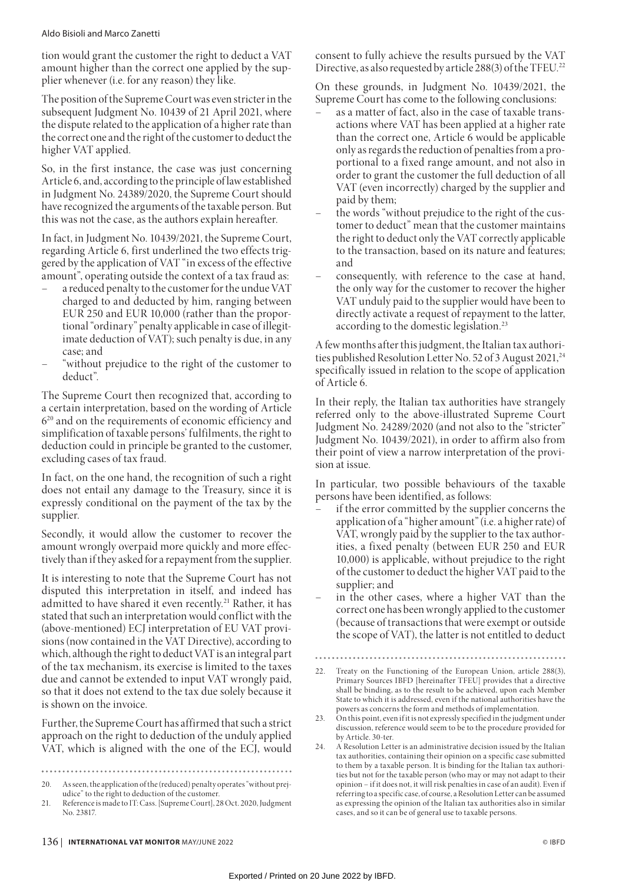#### Aldo Bisioli and Marco Zanetti

tion would grant the customer the right to deduct a VAT amount higher than the correct one applied by the supplier whenever (i.e. for any reason) they like.

The position of the Supreme Court was even stricter in the subsequent Judgment No. 10439 of 21 April 2021, where the dispute related to the application of a higher rate than the correct one and the right of the customer to deduct the higher VAT applied.

So, in the first instance, the case was just concerning Article 6, and, according to the principle of law established in Judgment No. 24389/2020, the Supreme Court should have recognized the arguments of the taxable person. But this was not the case, as the authors explain hereafter.

In fact, in Judgment No. 10439/2021, the Supreme Court, regarding Article 6, first underlined the two effects triggered by the application of VAT "in excess of the effective amount", operating outside the context of a tax fraud as:

- a reduced penalty to the customer for the undue VAT charged to and deducted by him, ranging between EUR 250 and EUR 10,000 (rather than the proportional "ordinary" penalty applicable in case of illegitimate deduction of VAT); such penalty is due, in any case; and
- "without prejudice to the right of the customer to deduct".

The Supreme Court then recognized that, according to a certain interpretation, based on the wording of Article 620 and on the requirements of economic efficiency and simplification of taxable persons' fulfilments, the right to deduction could in principle be granted to the customer, excluding cases of tax fraud.

In fact, on the one hand, the recognition of such a right does not entail any damage to the Treasury, since it is expressly conditional on the payment of the tax by the supplier.

Secondly, it would allow the customer to recover the amount wrongly overpaid more quickly and more effectively than if they asked for a repayment from the supplier.

It is interesting to note that the Supreme Court has not disputed this interpretation in itself, and indeed has admitted to have shared it even recently.<sup>21</sup> Rather, it has stated that such an interpretation would conflict with the (above-mentioned) ECJ interpretation of EU VAT provisions (now contained in the VAT Directive), according to which, although the right to deduct VAT is an integral part of the tax mechanism, its exercise is limited to the taxes due and cannot be extended to input VAT wrongly paid, so that it does not extend to the tax due solely because it is shown on the invoice.

Further, the Supreme Court has affirmed that such a strict approach on the right to deduction of the unduly applied VAT, which is aligned with the one of the ECJ, would

20. As seen, the application of the (reduced) penalty operates "without prejudice" to the right to deduction of the customer.

consent to fully achieve the results pursued by the VAT Directive, as also requested by article 288(3) of the TFEU. 22

On these grounds, in Judgment No. 10439/2021, the Supreme Court has come to the following conclusions:

- as a matter of fact, also in the case of taxable transactions where VAT has been applied at a higher rate than the correct one, Article 6 would be applicable only as regards the reduction of penalties from a proportional to a fixed range amount, and not also in order to grant the customer the full deduction of all VAT (even incorrectly) charged by the supplier and paid by them;
- the words "without prejudice to the right of the customer to deduct" mean that the customer maintains the right to deduct only the VAT correctly applicable to the transaction, based on its nature and features; and
- consequently, with reference to the case at hand, the only way for the customer to recover the higher VAT unduly paid to the supplier would have been to directly activate a request of repayment to the latter, according to the domestic legislation.23

A few months after this judgment, the Italian tax authorities published Resolution Letter No. 52 of 3 August 2021,<sup>24</sup> specifically issued in relation to the scope of application of Article 6.

In their reply, the Italian tax authorities have strangely referred only to the above-illustrated Supreme Court Judgment No. 24289/2020 (and not also to the "stricter" Judgment No. 10439/2021), in order to affirm also from their point of view a narrow interpretation of the provision at issue.

In particular, two possible behaviours of the taxable persons have been identified, as follows:

- if the error committed by the supplier concerns the application of a "higher amount" (i.e. a higher rate) of VAT, wrongly paid by the supplier to the tax authorities, a fixed penalty (between EUR 250 and EUR 10,000) is applicable, without prejudice to the right of the customer to deduct the higher VAT paid to the supplier; and
- in the other cases, where a higher VAT than the correct one has been wrongly applied to the customer (because of transactions that were exempt or outside the scope of VAT), the latter is not entitled to deduct

 $1.1.1.1$ 

<sup>21.</sup> Reference is made to IT: Cass. [Supreme Court], 28 Oct. 2020, Judgment No. 23817.

<sup>22.</sup> Treaty on the Functioning of the European Union, article 288(3), Primary Sources IBFD [hereinafter TFEU] provides that a directive shall be binding, as to the result to be achieved, upon each Member State to which it is addressed, even if the national authorities have the powers as concerns the form and methods of implementation.

<sup>23.</sup> On this point, even if it is not expressly specified in the judgment under discussion, reference would seem to be to the procedure provided for by Article. 30-ter.

<sup>24.</sup> A Resolution Letter is an administrative decision issued by the Italian tax authorities, containing their opinion on a specific case submitted to them by a taxable person. It is binding for the Italian tax authorities but not for the taxable person (who may or may not adapt to their opinion – if it does not, it will risk penalties in case of an audit). Even if referring to a specific case, of course, a Resolution Letter can be assumed as expressing the opinion of the Italian tax authorities also in similar cases, and so it can be of general use to taxable persons.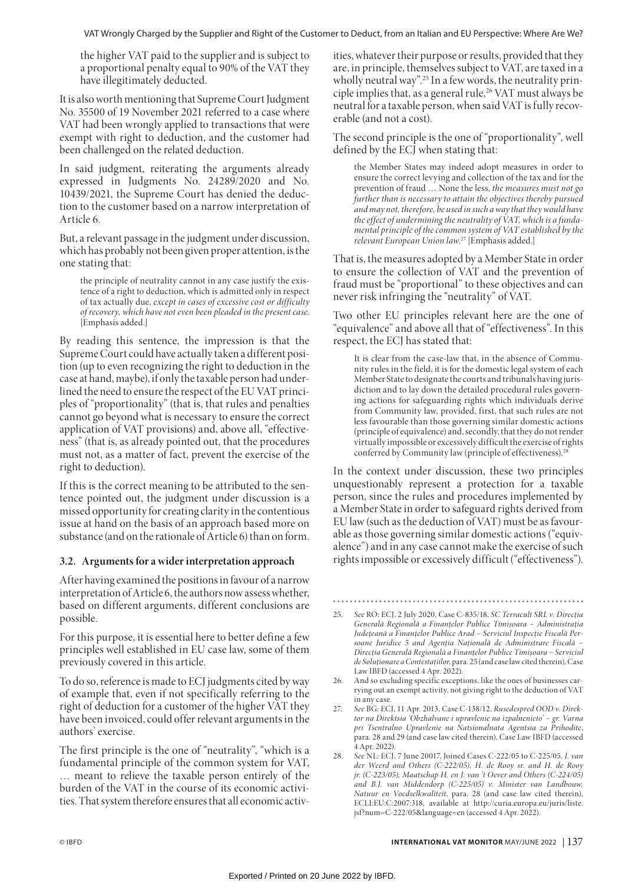the higher VAT paid to the supplier and is subject to a proportional penalty equal to 90% of the VAT they have illegitimately deducted.

It is also worth mentioning that Supreme Court Judgment No. 35500 of 19 November 2021 referred to a case where VAT had been wrongly applied to transactions that were exempt with right to deduction, and the customer had been challenged on the related deduction.

In said judgment, reiterating the arguments already expressed in Judgments No. 24289/2020 and No. 10439/2021, the Supreme Court has denied the deduction to the customer based on a narrow interpretation of Article 6.

But, a relevant passage in the judgment under discussion, which has probably not been given proper attention, is the one stating that:

the principle of neutrality cannot in any case justify the existence of a right to deduction, which is admitted only in respect of tax actually due, *except in cases of excessive cost or difficulty of recovery, which have not even been pleaded in the present case*. [Emphasis added.]

By reading this sentence, the impression is that the Supreme Court could have actually taken a different position (up to even recognizing the right to deduction in the case at hand, maybe), if only the taxable person had underlined the need to ensure the respect of the EU VAT principles of "proportionality" (that is, that rules and penalties cannot go beyond what is necessary to ensure the correct application of VAT provisions) and, above all, "effectiveness" (that is, as already pointed out, that the procedures must not, as a matter of fact, prevent the exercise of the right to deduction).

If this is the correct meaning to be attributed to the sentence pointed out, the judgment under discussion is a missed opportunity for creating clarity in the contentious issue at hand on the basis of an approach based more on substance (and on the rationale of Article 6) than on form.

## **3.2. Arguments for a wider interpretation approach**

After having examined the positions in favour of a narrow interpretation of Article 6, the authors now assess whether, based on different arguments, different conclusions are possible.

For this purpose, it is essential here to better define a few principles well established in EU case law, some of them previously covered in this article.

To do so, reference is made to ECJ judgments cited by way of example that, even if not specifically referring to the right of deduction for a customer of the higher VAT they have been invoiced, could offer relevant arguments in the authors' exercise.

The first principle is the one of "neutrality", "which is a fundamental principle of the common system for VAT, … meant to relieve the taxable person entirely of the burden of the VAT in the course of its economic activities. That system therefore ensures that all economic activities, whatever their purpose or results, provided that they are, in principle, themselves subject to VAT, are taxed in a wholly neutral way".<sup>25</sup> In a few words, the neutrality principle implies that, as a general rule,<sup>26</sup> VAT must always be neutral for a taxable person, when said VAT is fully recoverable (and not a cost).

The second principle is the one of "proportionality", well defined by the ECJ when stating that:

the Member States may indeed adopt measures in order to ensure the correct levying and collection of the tax and for the prevention of fraud … None the less, *the measures must not go further than is necessary to attain the objectives thereby pursued and may not, therefore, be used in such a way that they would have the effect of undermining the neutrality of VAT, which is a fundamental principle of the common system of VAT established by the relevant European Union law*. 27 [Emphasis added.]

That is, the measures adopted by a Member State in order to ensure the collection of VAT and the prevention of fraud must be "proportional" to these objectives and can never risk infringing the "neutrality" of VAT.

Two other EU principles relevant here are the one of "equivalence" and above all that of "effectiveness". In this respect, the ECJ has stated that:

It is clear from the case-law that, in the absence of Community rules in the field, it is for the domestic legal system of each Member State to designate the courts and tribunals having jurisdiction and to lay down the detailed procedural rules governing actions for safeguarding rights which individuals derive from Community law, provided, first, that such rules are not less favourable than those governing similar domestic actions (principle of equivalence) and, secondly, that they do not render virtually impossible or excessively difficult the exercise of rights conferred by Community law (principle of effectiveness).<sup>2</sup>

In the context under discussion, these two principles unquestionably represent a protection for a taxable person, since the rules and procedures implemented by a Member State in order to safeguard rights derived from EU law (such as the deduction of VAT) must be as favourable as those governing similar domestic actions ("equivalence") and in any case cannot make the exercise of such rights impossible or excessively difficult ("effectiveness").

- 26. And so excluding specific exceptions, like the ones of businesses carrying out an exempt activity, not giving right to the deduction of VAT in any case.
- 27. *See* BG: ECJ, 11 Apr. 2013, Case C-138/12, *Rusedespred OOD v. Direktor na Direktsia 'Obzhalvane i upravlenie na izpalnenieto' – gr. Varna pri Tsentralno Upravlenie na Natsionalnata Agentsia za Prihodite*, para. 28 and 29 (and case law cited therein), Case Law IBFD (accessed 4 Apr. 2022).
- 28. *See* NL: ECJ, 7 June 20017, Joined Cases C-222/05 to C-225/05, *J. van der Weerd and Others (C-222/05), H. de Rooy sr. and H. de Rooy jr.* (C-223/05), Maatschap H. en J. van 't Oever and Others (C-224/05) *and B.J. van Middendorp (C-225/05) v. Minister van Landbouw, Natuur en Voedselkwaliteit*, para. 28 (and case law cited therein), ECLI:EU:C:2007:318, available at http://curia.europa.eu/juris/liste. jsf?num=C-222/05&language=en (accessed 4 Apr. 2022).

<sup>25.</sup> *See* RO: ECJ, 2 July 2020, Case C-835/18, *SC Terracult SRL v. Direcția Generală Regională a Finanțelor Publice Timișoara – Administrația Județeană a Finanțelor Publice Arad – Serviciul Inspecție Fiscală Persoane Juridice 5 and Agenția Națională de Administrare Fiscală – Direcția Generală Regională a Finanțelor Publice Timișoara – Serviciul de Soluționare a Contestațiilor*, para. 25 (and case law cited therein), Case Law IBFD (accessed 4 Apr. 2022).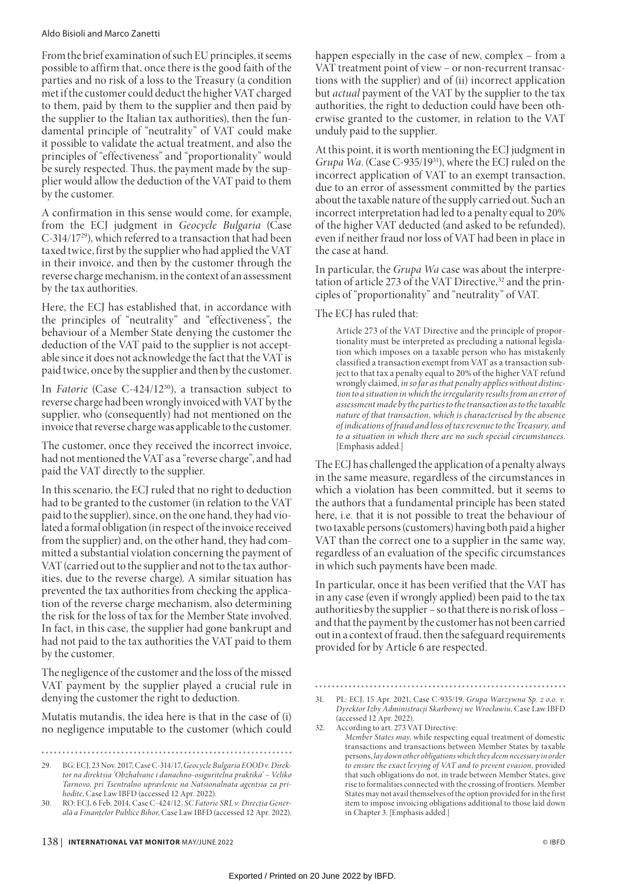#### Aldo Bisioli and Marco Zanetti

From the brief examination of such EU principles, it seems possible to affirm that, once there is the good faith of the parties and no risk of a loss to the Treasury (a condition met if the customer could deduct the higher VAT charged to them, paid by them to the supplier and then paid by the supplier to the Italian tax authorities), then the fundamental principle of "neutrality" of VAT could make it possible to validate the actual treatment, and also the principles of "effectiveness" and "proportionality" would be surely respected. Thus, the payment made by the supplier would allow the deduction of the VAT paid to them by the customer.

A confirmation in this sense would come, for example, from the ECJ judgment in *Geocycle Bulgaria* (Case C-314/1729), which referred to a transaction that had been taxed twice, first by the supplier who had applied the VAT in their invoice, and then by the customer through the reverse charge mechanism, in the context of an assessment by the tax authorities.

Here, the ECJ has established that, in accordance with the principles of "neutrality" and "effectiveness", the behaviour of a Member State denying the customer the deduction of the VAT paid to the supplier is not acceptable since it does not acknowledge the fact that the VAT is paid twice, once by the supplier and then by the customer.

In *Fatorie* (Case C-424/12<sup>30</sup>), a transaction subject to reverse charge had been wrongly invoiced with VAT by the supplier, who (consequently) had not mentioned on the invoice that reverse charge was applicable to the customer.

The customer, once they received the incorrect invoice, had not mentioned the VAT as a "reverse charge", and had paid the VAT directly to the supplier.

In this scenario, the ECJ ruled that no right to deduction had to be granted to the customer (in relation to the VAT paid to the supplier), since, on the one hand, they had violated a formal obligation (in respect of the invoice received from the supplier) and, on the other hand, they had committed a substantial violation concerning the payment of VAT (carried out to the supplier and not to the tax authorities, due to the reverse charge). A similar situation has prevented the tax authorities from checking the application of the reverse charge mechanism, also determining the risk for the loss of tax for the Member State involved. In fact, in this case, the supplier had gone bankrupt and had not paid to the tax authorities the VAT paid to them by the customer.

The negligence of the customer and the loss of the missed VAT payment by the supplier played a crucial rule in denying the customer the right to deduction.

Mutatis mutandis, the idea here is that in the case of (i) no negligence imputable to the customer (which could

. . . . . . . 29. BG: ECJ, 23 Nov. 2017, Case C-314/17, *Geocycle Bulgaria EOOD v. Direktor na direktsia 'Obzhalvane i danachno-osiguritelna praktika' – Veliko Tarnovo, pri Tsentralno upravlenie na Natsionalnata agentsia za pri-* happen especially in the case of new, complex – from a VAT treatment point of view – or non-recurrent transactions with the supplier) and of (ii) incorrect application but *actual* payment of the VAT by the supplier to the tax authorities, the right to deduction could have been otherwise granted to the customer, in relation to the VAT unduly paid to the supplier.

At this point, it is worth mentioning the ECJ judgment in *Grupa Wa*. (Case C-935/19<sup>31</sup>), where the ECJ ruled on the incorrect application of VAT to an exempt transaction, due to an error of assessment committed by the parties about the taxable nature of the supply carried out. Such an incorrect interpretation had led to a penalty equal to 20% of the higher VAT deducted (and asked to be refunded), even if neither fraud nor loss of VAT had been in place in the case at hand.

In particular, the *Grupa Wa* case was about the interpretation of article 273 of the VAT Directive,<sup>32</sup> and the principles of "proportionality" and "neutrality" of VAT.

The ECJ has ruled that:

Article 273 of the VAT Directive and the principle of proportionality must be interpreted as precluding a national legislation which imposes on a taxable person who has mistakenly classified a transaction exempt from VAT as a transaction subject to that tax a penalty equal to 20% of the higher VAT refund wrongly claimed, *in so far as that penalty applies without distinction to a situation in which the irregularity results from an error of assessment made by the parties to the transaction as to the taxable nature of that transaction, which is characterised by the absence of indications of fraud and loss of tax revenue to the Treasury, and to a situation in which there are no such special circumstances*. [Emphasis added.]

The ECJ has challenged the application of a penalty always in the same measure, regardless of the circumstances in which a violation has been committed, but it seems to the authors that a fundamental principle has been stated here, i.e. that it is not possible to treat the behaviour of two taxable persons (customers) having both paid a higher VAT than the correct one to a supplier in the same way, regardless of an evaluation of the specific circumstances in which such payments have been made.

In particular, once it has been verified that the VAT has in any case (even if wrongly applied) been paid to the tax authorities by the supplier – so that there is no risk of loss – and that the payment by the customer has not been carried out in a context of fraud, then the safeguard requirements provided for by Article 6 are respected.

32. According to art. 273 VAT Directive:

*hodite*, Case Law IBFD (accessed 12 Apr. 2022). 30. RO: ECJ, 6 Feb. 2014, Case C-424/12, *SC Fatorie SRL v. Direcția Generală a Finanțelor Publice Bihor*, Case Law IBFD (accessed 12 Apr. 2022).

<sup>31.</sup> PL: ECJ, 15 Apr. 2021, Case C-935/19, *Grupa Warzywna Sp. z o.o. v. Dyrektor Izby Administracji Skarbowej we Wrocławiu*, Case Law IBFD (accessed 12 Apr. 2022).

*Member States may*, while respecting equal treatment of domestic transactions and transactions between Member States by taxable persons, *lay down other obligations which they deem necessary in order to ensure the exact levying of VAT and to prevent evasion*, provided that such obligations do not, in trade between Member States, give rise to formalities connected with the crossing of frontiers. Member States may not avail themselves of the option provided for in the first item to impose invoicing obligations additional to those laid down in Chapter 3. [Emphasis added.]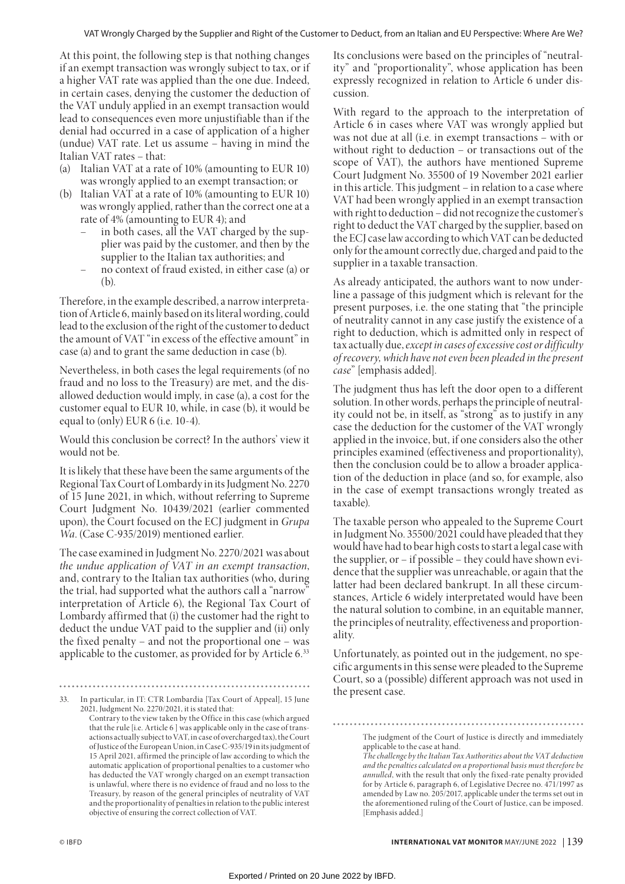At this point, the following step is that nothing changes if an exempt transaction was wrongly subject to tax, or if a higher VAT rate was applied than the one due. Indeed, in certain cases, denying the customer the deduction of the VAT unduly applied in an exempt transaction would lead to consequences even more unjustifiable than if the denial had occurred in a case of application of a higher (undue) VAT rate. Let us assume – having in mind the Italian VAT rates – that:

- (a) Italian VAT at a rate of 10% (amounting to EUR 10) was wrongly applied to an exempt transaction; or
- (b) Italian VAT at a rate of 10% (amounting to EUR 10) was wrongly applied, rather than the correct one at a rate of 4% (amounting to EUR 4); and
	- in both cases, all the VAT charged by the supplier was paid by the customer, and then by the supplier to the Italian tax authorities; and
	- no context of fraud existed, in either case (a) or  $(b)$

Therefore, in the example described, a narrow interpretation of Article 6, mainly based on its literal wording, could lead to the exclusion of the right of the customer to deduct the amount of VAT "in excess of the effective amount" in case (a) and to grant the same deduction in case (b).

Nevertheless, in both cases the legal requirements (of no fraud and no loss to the Treasury) are met, and the disallowed deduction would imply, in case (a), a cost for the customer equal to EUR 10, while, in case (b), it would be equal to (only) EUR 6 (i.e. 10-4).

Would this conclusion be correct? In the authors' view it would not be.

It is likely that these have been the same arguments of the Regional Tax Court of Lombardy in its Judgment No. 2270 of 15 June 2021, in which, without referring to Supreme Court Judgment No. 10439/2021 (earlier commented upon), the Court focused on the ECJ judgment in *Grupa Wa*. (Case C-935/2019) mentioned earlier.

The case examined in Judgment No. 2270/2021 was about *the undue application of VAT in an exempt transaction*, and, contrary to the Italian tax authorities (who, during the trial, had supported what the authors call a "narrow" interpretation of Article 6), the Regional Tax Court of Lombardy affirmed that (i) the customer had the right to deduct the undue VAT paid to the supplier and (ii) only the fixed penalty – and not the proportional one – was applicable to the customer, as provided for by Article 6.<sup>33</sup>

Its conclusions were based on the principles of "neutrality" and "proportionality", whose application has been expressly recognized in relation to Article 6 under discussion.

With regard to the approach to the interpretation of Article 6 in cases where VAT was wrongly applied but was not due at all (i.e. in exempt transactions – with or without right to deduction – or transactions out of the scope of VAT), the authors have mentioned Supreme Court Judgment No. 35500 of 19 November 2021 earlier in this article. This judgment – in relation to a case where VAT had been wrongly applied in an exempt transaction with right to deduction – did not recognize the customer's right to deduct the VAT charged by the supplier, based on the ECJ case law according to which VAT can be deducted only for the amount correctly due, charged and paid to the supplier in a taxable transaction.

As already anticipated, the authors want to now underline a passage of this judgment which is relevant for the present purposes, i.e. the one stating that "the principle of neutrality cannot in any case justify the existence of a right to deduction, which is admitted only in respect of tax actually due, *except in cases of excessive cost or difficulty of recovery, which have not even been pleaded in the present case*" [emphasis added].

The judgment thus has left the door open to a different solution. In other words, perhaps the principle of neutrality could not be, in itself, as "strong" as to justify in any case the deduction for the customer of the VAT wrongly applied in the invoice, but, if one considers also the other principles examined (effectiveness and proportionality), then the conclusion could be to allow a broader application of the deduction in place (and so, for example, also in the case of exempt transactions wrongly treated as taxable).

The taxable person who appealed to the Supreme Court in Judgment No. 35500/2021 could have pleaded that they would have had to bear high costs to start a legal case with the supplier, or – if possible – they could have shown evidence that the supplier was unreachable, or again that the latter had been declared bankrupt. In all these circumstances, Article 6 widely interpretated would have been the natural solution to combine, in an equitable manner, the principles of neutrality, effectiveness and proportionality.

Unfortunately, as pointed out in the judgement, no specific arguments in this sense were pleaded to the Supreme Court, so a (possible) different approach was not used in the present case.

<sup>33.</sup> In particular, in IT: CTR Lombardia [Tax Court of Appeal], 15 June 2021, Judgment No. 2270/2021, it is stated that: Contrary to the view taken by the Office in this case (which argued that the rule [i.e. Article 6 ] was applicable only in the case of transactions actually subject to VAT, in case of overcharged tax), the Court of Justice of the European Union, in Case C-935/19 in its judgment of 15 April 2021, affirmed the principle of law according to which the automatic application of proportional penalties to a customer who has deducted the VAT wrongly charged on an exempt transaction is unlawful, where there is no evidence of fraud and no loss to the Treasury, by reason of the general principles of neutrality of VAT and the proportionality of penalties in relation to the public interest objective of ensuring the correct collection of VAT.

The judgment of the Court of Justice is directly and immediately applicable to the case at hand.

*The challenge by the Italian Tax Authorities about the VAT deduction and the penalties calculated on a proportional basis must therefore be annulled*, with the result that only the fixed-rate penalty provided for by Article 6, paragraph 6, of Legislative Decree no. 471/1997 as amended by Law no. 205/2017, applicable under the terms set out in the aforementioned ruling of the Court of Justice, can be imposed. [Emphasis added.]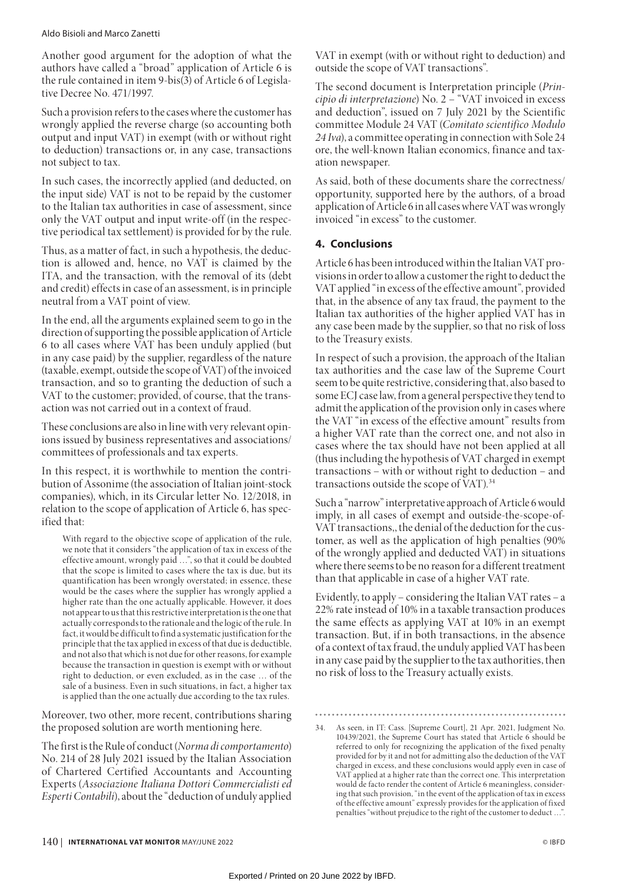#### Aldo Bisioli and Marco Zanetti

Another good argument for the adoption of what the authors have called a "broad" application of Article 6 is the rule contained in item 9-bis(3) of Article 6 of Legislative Decree No. 471/1997.

Such a provision refers to the cases where the customer has wrongly applied the reverse charge (so accounting both output and input VAT) in exempt (with or without right to deduction) transactions or, in any case, transactions not subject to tax.

In such cases, the incorrectly applied (and deducted, on the input side) VAT is not to be repaid by the customer to the Italian tax authorities in case of assessment, since only the VAT output and input write-off (in the respective periodical tax settlement) is provided for by the rule.

Thus, as a matter of fact, in such a hypothesis, the deduction is allowed and, hence, no VAT is claimed by the ITA, and the transaction, with the removal of its (debt and credit) effects in case of an assessment, is in principle neutral from a VAT point of view.

In the end, all the arguments explained seem to go in the direction of supporting the possible application of Article 6 to all cases where VAT has been unduly applied (but in any case paid) by the supplier, regardless of the nature (taxable, exempt, outside the scope of VAT) of the invoiced transaction, and so to granting the deduction of such a VAT to the customer; provided, of course, that the transaction was not carried out in a context of fraud.

These conclusions are also in line with very relevant opinions issued by business representatives and associations/ committees of professionals and tax experts.

In this respect, it is worthwhile to mention the contribution of Assonime (the association of Italian joint-stock companies), which, in its Circular letter No. 12/2018, in relation to the scope of application of Article 6, has specified that:

With regard to the objective scope of application of the rule, we note that it considers "the application of tax in excess of the effective amount, wrongly paid …", so that it could be doubted that the scope is limited to cases where the tax is due, but its quantification has been wrongly overstated; in essence, these would be the cases where the supplier has wrongly applied a higher rate than the one actually applicable. However, it does not appear to us that this restrictive interpretation is the one that actually corresponds to the rationale and the logic of the rule. In fact, it would be difficult to find a systematic justification for the principle that the tax applied in excess of that due is deductible, and not also that which is not due for other reasons, for example because the transaction in question is exempt with or without right to deduction, or even excluded, as in the case … of the sale of a business. Even in such situations, in fact, a higher tax is applied than the one actually due according to the tax rules.

Moreover, two other, more recent, contributions sharing the proposed solution are worth mentioning here.

The first is the Rule of conduct (*Norma di comportamento*) No. 214 of 28 July 2021 issued by the Italian Association of Chartered Certified Accountants and Accounting Experts (*Associazione Italiana Dottori Commercialisti ed Esperti Contabili*), about the "deduction of unduly applied

VAT in exempt (with or without right to deduction) and outside the scope of VAT transactions".

The second document is Interpretation principle (*Principio di interpretazione*) No. 2 – "VAT invoiced in excess and deduction", issued on 7 July 2021 by the Scientific committee Module 24 VAT (*Comitato scientifico Modulo 24 Iva*), a committee operating in connection with Sole 24 ore, the well-known Italian economics, finance and taxation newspaper.

As said, both of these documents share the correctness/ opportunity, supported here by the authors, of a broad application of Article 6 in all cases where VAT was wrongly invoiced "in excess" to the customer.

# **4. Conclusions**

Article 6 has been introduced within the Italian VAT provisions in order to allow a customer the right to deduct the VAT applied "in excess of the effective amount", provided that, in the absence of any tax fraud, the payment to the Italian tax authorities of the higher applied VAT has in any case been made by the supplier, so that no risk of loss to the Treasury exists.

In respect of such a provision, the approach of the Italian tax authorities and the case law of the Supreme Court seem to be quite restrictive, considering that, also based to some ECJ case law, from a general perspective they tend to admit the application of the provision only in cases where the VAT "in excess of the effective amount" results from a higher VAT rate than the correct one, and not also in cases where the tax should have not been applied at all (thus including the hypothesis of VAT charged in exempt transactions – with or without right to deduction – and transactions outside the scope of VAT).<sup>34</sup>

Such a "narrow" interpretative approach of Article 6 would imply, in all cases of exempt and outside-the-scope-of-VAT transactions,, the denial of the deduction for the customer, as well as the application of high penalties (90% of the wrongly applied and deducted VAT) in situations where there seems to be no reason for a different treatment than that applicable in case of a higher VAT rate.

Evidently, to apply – considering the Italian VAT rates – a 22% rate instead of 10% in a taxable transaction produces the same effects as applying VAT at 10% in an exempt transaction. But, if in both transactions, in the absence of a context of tax fraud, the unduly applied VAT has been in any case paid by the supplier to the tax authorities, then no risk of loss to the Treasury actually exists.

<sup>34.</sup> As seen, in IT: Cass. [Supreme Court], 21 Apr. 2021, Judgment No. 10439/2021, the Supreme Court has stated that Article 6 should be referred to only for recognizing the application of the fixed penalty provided for by it and not for admitting also the deduction of the VAT charged in excess, and these conclusions would apply even in case of VAT applied at a higher rate than the correct one. This interpretation would de facto render the content of Article 6 meaningless, considering that such provision, "in the event of the application of tax in excess of the effective amount" expressly provides for the application of fixed penalties "without prejudice to the right of the customer to deduct ..."